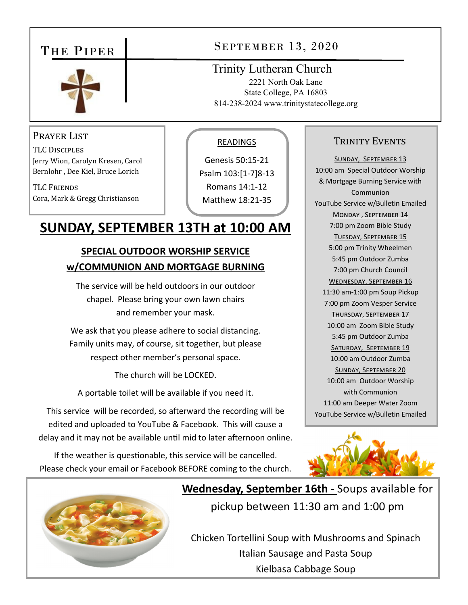### THE PIPER



#### PRAYER LIST

TLC DISCIPLES Jerry Wion, Carolyn Kresen, Carol Bernlohr , Dee Kiel, Bruce Lorich

TLC FRIENDS Cora, Mark & Gregg Christianson

#### READINGS

Trinity Lutheran Church

SEPTEMBER 13, 2020

2221 North Oak Lane State College, PA 16803 814-238-2024 www.trinitystatecollege.org

Genesis 50:15‐21 Psalm 103:[1‐7]8‐13 Romans 14:1‐12 Matthew 18:21-35

# **SUNDAY, SEPTEMBER 13TH at 10:00 AM**

#### **SPECIAL OUTDOOR WORSHIP SERVICE w/COMMUNION AND MORTGAGE BURNING**

The service will be held outdoors in our outdoor chapel. Please bring your own lawn chairs and remember your mask.

We ask that you please adhere to social distancing. Family units may, of course, sit together, but please respect other member's personal space.

The church will be LOCKED.

A portable toilet will be available if you need it.

This service will be recorded, so afterward the recording will be edited and uploaded to YouTube & Facebook. This will cause a delay and it may not be available until mid to later afternoon online.

If the weather is questionable, this service will be cancelled. Please check your email or Facebook BEFORE coming to the church.

#### TRINITY EVENTS

SUNDAY, SEPTEMBER 13 10:00 am Special Outdoor Worship & Mortgage Burning Service with Communion YouTube Service w/Bulletin Emailed MONDAY, SEPTEMBER 14 7:00 pm Zoom Bible Study TUESDAY, SEPTEMBER 15 5:00 pm Trinity Wheelmen 5:45 pm Outdoor Zumba 7:00 pm Church Council WEDNESDAY, SEPTEMBER 16 11:30 am‐1:00 pm Soup Pickup 7:00 pm Zoom Vesper Service THURSDAY, SEPTEMBER 17 10:00 am Zoom Bible Study 5:45 pm Outdoor Zumba SATURDAY, SEPTEMBER 19 10:00 am Outdoor Zumba SUNDAY, SEPTEMBER 20 10:00 am Outdoor Worship with Communion 11:00 am Deeper Water Zoom YouTube Service w/Bulletin Emailed





## **Wednesday, September 16th ‐** Soups available for pickup between 11:30 am and 1:00 pm

Chicken Tortellini Soup with Mushrooms and Spinach Italian Sausage and Pasta Soup Kielbasa Cabbage Soup